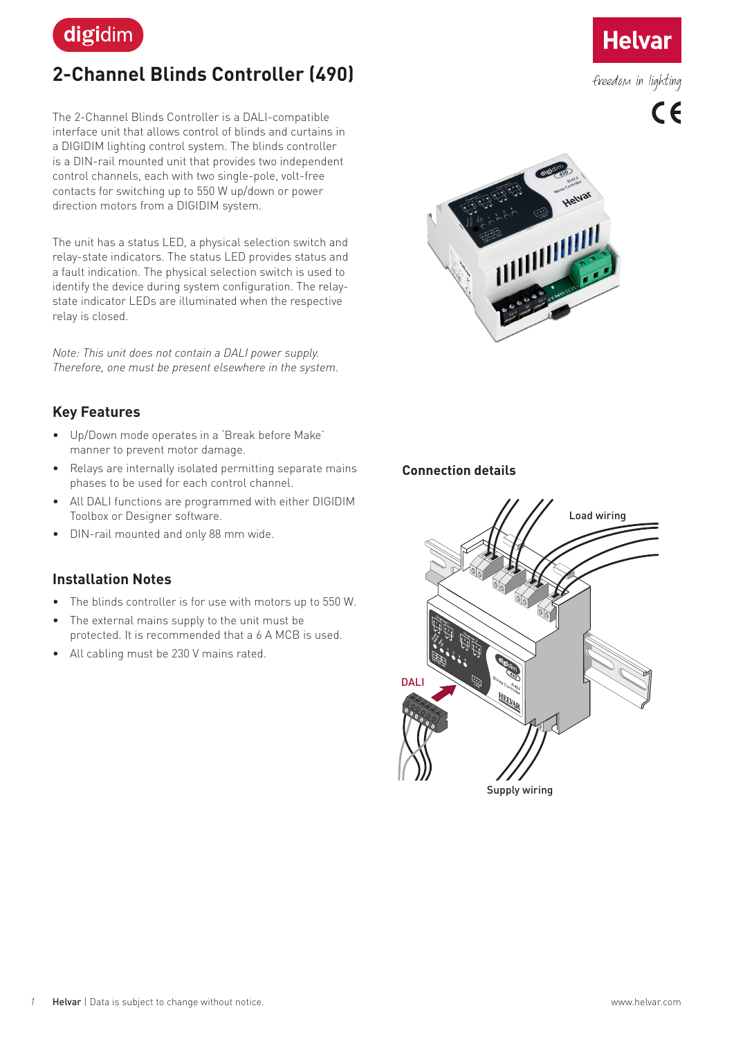

# **2-Channel Blinds Controller (490)**

The 2-Channel Blinds Controller is a DALI-compatible interface unit that allows control of blinds and curtains in a DIGIDIM lighting control system. The blinds controller is a DIN-rail mounted unit that provides two independent control channels, each with two single-pole, volt-free contacts for switching up to 550 W up/down or power direction motors from a DIGIDIM system.

The unit has a status LED, a physical selection switch and relay-state indicators. The status LED provides status and a fault indication. The physical selection switch is used to identify the device during system configuration. The relaystate indicator LEDs are illuminated when the respective relay is closed.

*Note: This unit does not contain a DALI power supply. Therefore, one must be present elsewhere in the system.*



# **Key Features**

- Up/Down mode operates in a 'Break before Make' manner to prevent motor damage.
- Relays are internally isolated permitting separate mains phases to be used for each control channel.
- All DALI functions are programmed with either DIGIDIM Toolbox or Designer software.
- DIN-rail mounted and only 88 mm wide.

# **Installation Notes**

- The blinds controller is for use with motors up to 550 W.
- The external mains supply to the unit must be protected. It is recommended that a 6 A MCB is used.
- All cabling must be 230 V mains rated.

### **Connection details**





freedom in lighting

 $\epsilon$